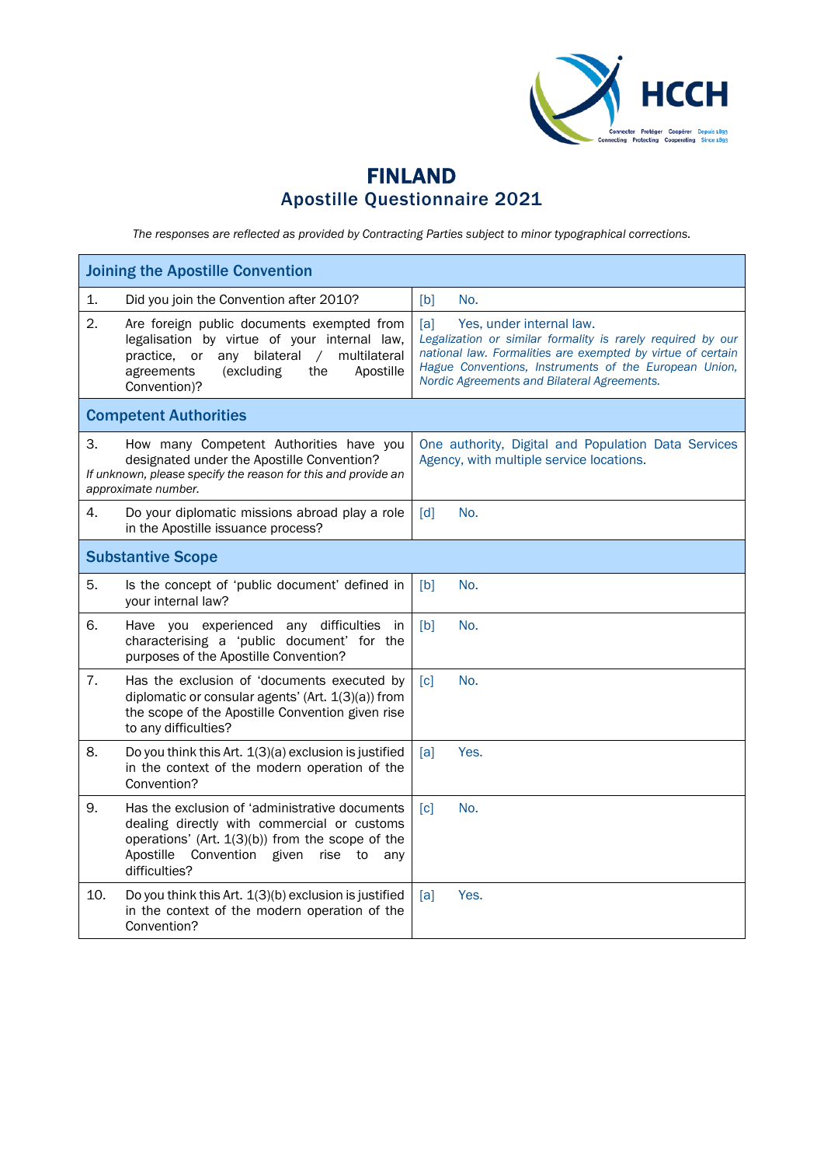

## FINLAND Apostille Questionnaire 2021

*The responses are reflected as provided by Contracting Parties subject to minor typographical corrections.*

| <b>Joining the Apostille Convention</b>                                                                                                                                                                                      |                                                                                                                                                                                                                                                                       |  |  |
|------------------------------------------------------------------------------------------------------------------------------------------------------------------------------------------------------------------------------|-----------------------------------------------------------------------------------------------------------------------------------------------------------------------------------------------------------------------------------------------------------------------|--|--|
| 1.<br>Did you join the Convention after 2010?                                                                                                                                                                                | [b]<br>No.                                                                                                                                                                                                                                                            |  |  |
| 2.<br>Are foreign public documents exempted from<br>legalisation by virtue of your internal law,<br>practice, or any bilateral<br>multilateral<br>$\sqrt{2}$<br>agreements<br>(excluding<br>the<br>Apostille<br>Convention)? | [a]<br>Yes, under internal law.<br>Legalization or similar formality is rarely required by our<br>national law. Formalities are exempted by virtue of certain<br>Hague Conventions, Instruments of the European Union,<br>Nordic Agreements and Bilateral Agreements. |  |  |
| <b>Competent Authorities</b>                                                                                                                                                                                                 |                                                                                                                                                                                                                                                                       |  |  |
| 3.<br>How many Competent Authorities have you<br>designated under the Apostille Convention?<br>If unknown, please specify the reason for this and provide an<br>approximate number.                                          | One authority, Digital and Population Data Services<br>Agency, with multiple service locations.                                                                                                                                                                       |  |  |
| 4.<br>Do your diplomatic missions abroad play a role<br>in the Apostille issuance process?                                                                                                                                   | No.<br>$\lceil d \rceil$                                                                                                                                                                                                                                              |  |  |
| <b>Substantive Scope</b>                                                                                                                                                                                                     |                                                                                                                                                                                                                                                                       |  |  |
| 5.<br>Is the concept of 'public document' defined in<br>your internal law?                                                                                                                                                   | [b]<br>No.                                                                                                                                                                                                                                                            |  |  |
| 6.<br>Have you experienced any difficulties in<br>characterising a 'public document' for the<br>purposes of the Apostille Convention?                                                                                        | [b]<br>No.                                                                                                                                                                                                                                                            |  |  |
| 7.<br>Has the exclusion of 'documents executed by<br>diplomatic or consular agents' (Art. 1(3)(a)) from<br>the scope of the Apostille Convention given rise<br>to any difficulties?                                          | [c]<br>No.                                                                                                                                                                                                                                                            |  |  |
| 8.<br>Do you think this Art. 1(3)(a) exclusion is justified<br>in the context of the modern operation of the<br>Convention?                                                                                                  | [a]<br>Yes.                                                                                                                                                                                                                                                           |  |  |
| 9.<br>Has the exclusion of 'administrative documents<br>dealing directly with commercial or customs<br>operations' (Art. 1(3)(b)) from the scope of the<br>Apostille<br>Convention given<br>rise to<br>anv<br>difficulties?  | No.<br>$\lceil c \rceil$                                                                                                                                                                                                                                              |  |  |
| 10.<br>Do you think this Art. 1(3)(b) exclusion is justified<br>in the context of the modern operation of the<br>Convention?                                                                                                 | Yes.<br>[a]                                                                                                                                                                                                                                                           |  |  |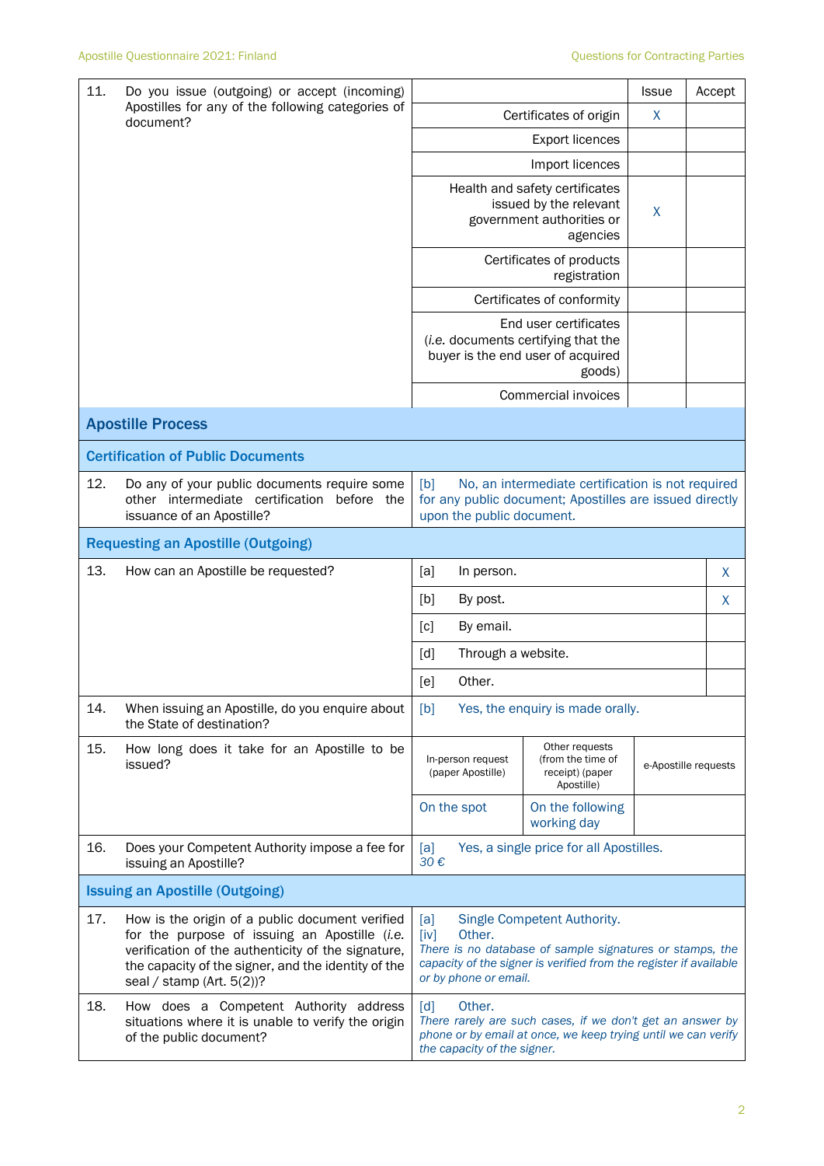| 11.<br>Do you issue (outgoing) or accept (incoming)            |                                                                                                                                                                                                                                               | <b>Issue</b><br>Accept                                                                                                                                                                                         |                                                                                                   |   |                      |  |
|----------------------------------------------------------------|-----------------------------------------------------------------------------------------------------------------------------------------------------------------------------------------------------------------------------------------------|----------------------------------------------------------------------------------------------------------------------------------------------------------------------------------------------------------------|---------------------------------------------------------------------------------------------------|---|----------------------|--|
| Apostilles for any of the following categories of<br>document? |                                                                                                                                                                                                                                               | Certificates of origin                                                                                                                                                                                         | X                                                                                                 |   |                      |  |
|                                                                |                                                                                                                                                                                                                                               |                                                                                                                                                                                                                |                                                                                                   |   |                      |  |
|                                                                |                                                                                                                                                                                                                                               | Import licences                                                                                                                                                                                                |                                                                                                   |   |                      |  |
|                                                                |                                                                                                                                                                                                                                               |                                                                                                                                                                                                                | Health and safety certificates<br>issued by the relevant<br>government authorities or<br>agencies | X |                      |  |
|                                                                |                                                                                                                                                                                                                                               | Certificates of products<br>registration                                                                                                                                                                       |                                                                                                   |   |                      |  |
|                                                                |                                                                                                                                                                                                                                               | Certificates of conformity                                                                                                                                                                                     |                                                                                                   |   |                      |  |
|                                                                |                                                                                                                                                                                                                                               | End user certificates<br>(i.e. documents certifying that the<br>buyer is the end user of acquired<br>goods)                                                                                                    |                                                                                                   |   |                      |  |
|                                                                |                                                                                                                                                                                                                                               |                                                                                                                                                                                                                | Commercial invoices                                                                               |   |                      |  |
|                                                                | <b>Apostille Process</b>                                                                                                                                                                                                                      |                                                                                                                                                                                                                |                                                                                                   |   |                      |  |
|                                                                | <b>Certification of Public Documents</b>                                                                                                                                                                                                      |                                                                                                                                                                                                                |                                                                                                   |   |                      |  |
| 12.                                                            | Do any of your public documents require some<br>other intermediate certification before the<br>issuance of an Apostille?                                                                                                                      | [b]<br>No, an intermediate certification is not required<br>for any public document; Apostilles are issued directly<br>upon the public document.                                                               |                                                                                                   |   |                      |  |
|                                                                | <b>Requesting an Apostille (Outgoing)</b>                                                                                                                                                                                                     |                                                                                                                                                                                                                |                                                                                                   |   |                      |  |
| 13.                                                            | How can an Apostille be requested?                                                                                                                                                                                                            | [a]<br>In person.                                                                                                                                                                                              |                                                                                                   |   | X                    |  |
|                                                                |                                                                                                                                                                                                                                               | [b]<br>By post.                                                                                                                                                                                                |                                                                                                   |   | X                    |  |
|                                                                |                                                                                                                                                                                                                                               | By email.<br>[c]                                                                                                                                                                                               |                                                                                                   |   |                      |  |
|                                                                |                                                                                                                                                                                                                                               | Through a website.<br>[d]                                                                                                                                                                                      |                                                                                                   |   |                      |  |
|                                                                |                                                                                                                                                                                                                                               | Other.<br>[e]                                                                                                                                                                                                  |                                                                                                   |   |                      |  |
| 14.                                                            | When issuing an Apostille, do you enquire about<br>the State of destination?                                                                                                                                                                  | Yes, the enquiry is made orally.<br>[b]                                                                                                                                                                        |                                                                                                   |   |                      |  |
| 15.                                                            | How long does it take for an Apostille to be<br>issued?                                                                                                                                                                                       | In-person request<br>(paper Apostille)                                                                                                                                                                         | Other requests<br>(from the time of<br>receipt) (paper<br>Apostille)                              |   | e-Apostille requests |  |
|                                                                |                                                                                                                                                                                                                                               | On the spot                                                                                                                                                                                                    | On the following<br>working day                                                                   |   |                      |  |
| 16.                                                            | Does your Competent Authority impose a fee for<br>issuing an Apostille?                                                                                                                                                                       | Yes, a single price for all Apostilles.<br>[a]<br>30€                                                                                                                                                          |                                                                                                   |   |                      |  |
|                                                                | <b>Issuing an Apostille (Outgoing)</b>                                                                                                                                                                                                        |                                                                                                                                                                                                                |                                                                                                   |   |                      |  |
| 17.                                                            | How is the origin of a public document verified<br>for the purpose of issuing an Apostille (i.e.<br>verification of the authenticity of the signature,<br>the capacity of the signer, and the identity of the<br>seal / stamp (Art. $5(2)$ )? | Single Competent Authority.<br>[a]<br>[iv]<br>Other.<br>There is no database of sample signatures or stamps, the<br>capacity of the signer is verified from the register if available<br>or by phone or email. |                                                                                                   |   |                      |  |
| 18.                                                            | How does a Competent Authority address<br>situations where it is unable to verify the origin<br>of the public document?                                                                                                                       | Other.<br>$\lceil d \rceil$<br>There rarely are such cases, if we don't get an answer by<br>phone or by email at once, we keep trying until we can verify<br>the capacity of the signer.                       |                                                                                                   |   |                      |  |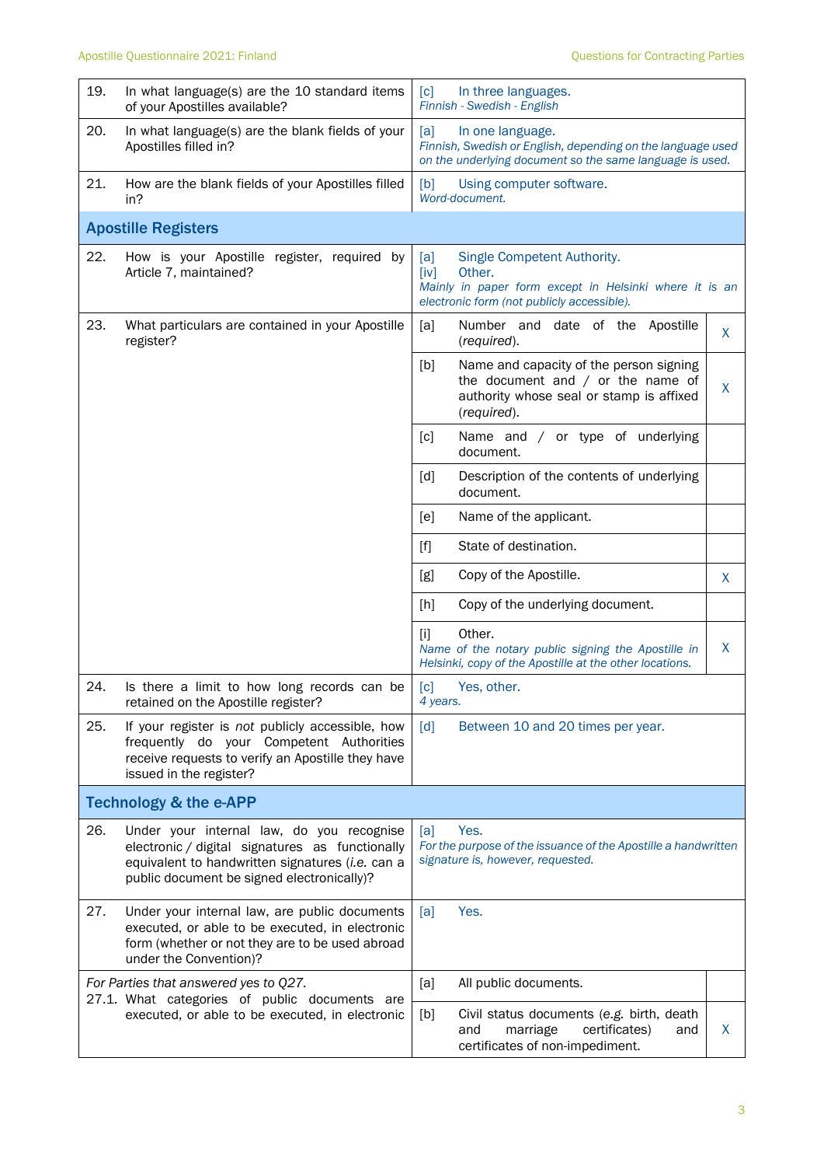| 19. | In what language(s) are the 10 standard items<br>of your Apostilles available?                                                                                                                 | [c]<br>In three languages.<br>Finnish - Swedish - English                                                                                                    |   |  |
|-----|------------------------------------------------------------------------------------------------------------------------------------------------------------------------------------------------|--------------------------------------------------------------------------------------------------------------------------------------------------------------|---|--|
| 20. | In what language(s) are the blank fields of your<br>Apostilles filled in?                                                                                                                      | [a]<br>In one language.<br>Finnish, Swedish or English, depending on the language used<br>on the underlying document so the same language is used.           |   |  |
| 21. | How are the blank fields of your Apostilles filled<br>in?                                                                                                                                      | Using computer software.<br>[b]<br>Word-document.                                                                                                            |   |  |
|     | <b>Apostille Registers</b>                                                                                                                                                                     |                                                                                                                                                              |   |  |
| 22. | How is your Apostille register, required by<br>Article 7, maintained?                                                                                                                          | Single Competent Authority.<br>[a]<br>[iv]<br>Other.<br>Mainly in paper form except in Helsinki where it is an<br>electronic form (not publicly accessible). |   |  |
| 23. | What particulars are contained in your Apostille<br>register?                                                                                                                                  | [a]<br>Number and date of the Apostille<br>(required).                                                                                                       | X |  |
|     |                                                                                                                                                                                                | [b]<br>Name and capacity of the person signing<br>the document and $/$ or the name of<br>authority whose seal or stamp is affixed<br>(required).             | X |  |
|     |                                                                                                                                                                                                | Name and / or type of underlying<br>[c]<br>document.                                                                                                         |   |  |
|     |                                                                                                                                                                                                | [d]<br>Description of the contents of underlying<br>document.                                                                                                |   |  |
|     |                                                                                                                                                                                                | Name of the applicant.<br>[e]                                                                                                                                |   |  |
|     |                                                                                                                                                                                                | State of destination.<br>$[f]$                                                                                                                               |   |  |
|     |                                                                                                                                                                                                | [g]<br>Copy of the Apostille.                                                                                                                                | X |  |
|     |                                                                                                                                                                                                | [h]<br>Copy of the underlying document.                                                                                                                      |   |  |
|     |                                                                                                                                                                                                | Other.<br>$[1]$<br>Name of the notary public signing the Apostille in<br>Helsinki, copy of the Apostille at the other locations.                             | X |  |
| 24. | Is there a limit to how long records can be<br>retained on the Apostille register?                                                                                                             | [c]<br>Yes, other.<br>4 years.                                                                                                                               |   |  |
| 25. | If your register is not publicly accessible, how<br>frequently do your Competent Authorities<br>receive requests to verify an Apostille they have<br>issued in the register?                   | $\lceil d \rceil$<br>Between 10 and 20 times per year.                                                                                                       |   |  |
|     | <b>Technology &amp; the e-APP</b>                                                                                                                                                              |                                                                                                                                                              |   |  |
| 26. | Under your internal law, do you recognise<br>electronic / digital signatures as functionally<br>equivalent to handwritten signatures (i.e. can a<br>public document be signed electronically)? | Yes.<br>[a]<br>For the purpose of the issuance of the Apostille a handwritten<br>signature is, however, requested.                                           |   |  |
| 27. | Under your internal law, are public documents<br>executed, or able to be executed, in electronic<br>form (whether or not they are to be used abroad<br>under the Convention)?                  | Yes.<br>[a]                                                                                                                                                  |   |  |
|     | For Parties that answered yes to Q27.<br>27.1. What categories of public documents are<br>executed, or able to be executed, in electronic                                                      | [a]<br>All public documents.                                                                                                                                 |   |  |
|     |                                                                                                                                                                                                | [b]<br>Civil status documents (e.g. birth, death<br>certificates)<br>and<br>marriage<br>and<br>certificates of non-impediment.                               | X |  |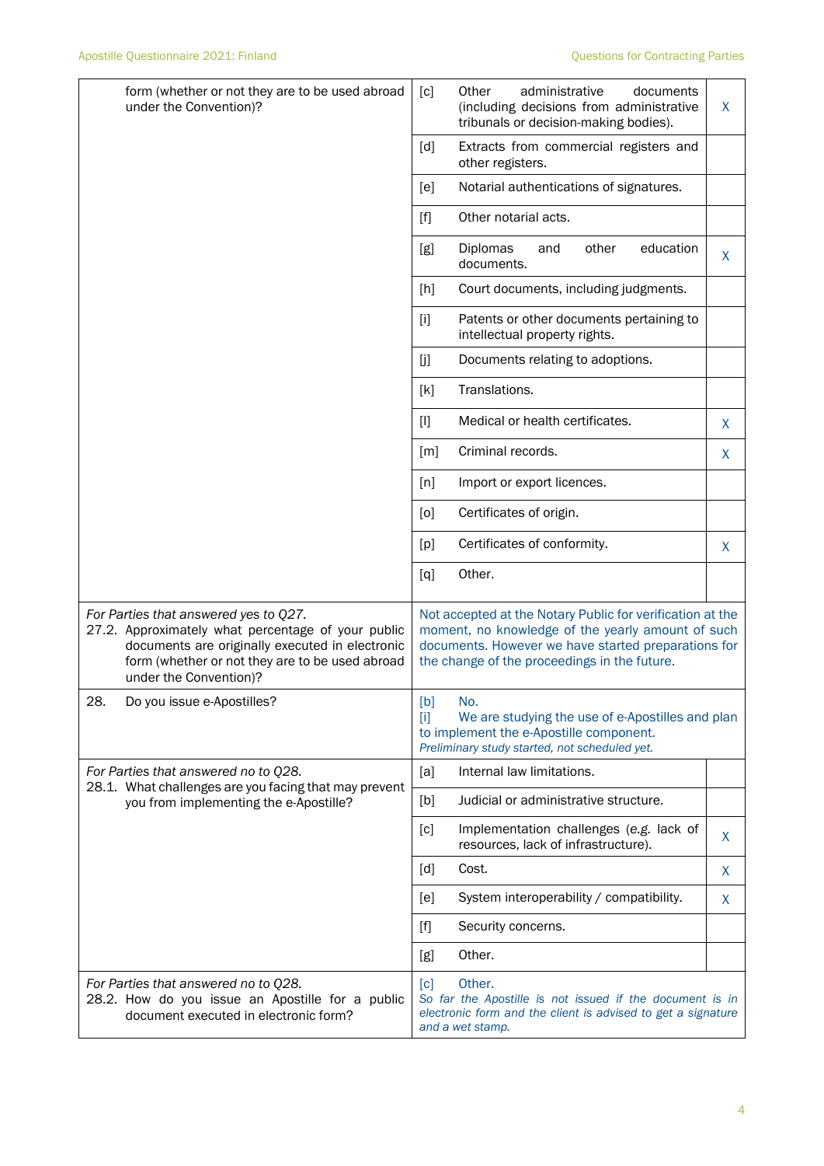| form (whether or not they are to be used abroad<br>under the Convention)?                                                                                                                                                   | administrative<br>documents<br>Other<br>[c]<br>(including decisions from administrative<br>tribunals or decision-making bodies).                                                                                                                                            | X  |
|-----------------------------------------------------------------------------------------------------------------------------------------------------------------------------------------------------------------------------|-----------------------------------------------------------------------------------------------------------------------------------------------------------------------------------------------------------------------------------------------------------------------------|----|
|                                                                                                                                                                                                                             | [d]<br>Extracts from commercial registers and<br>other registers.                                                                                                                                                                                                           |    |
|                                                                                                                                                                                                                             | Notarial authentications of signatures.<br>[e]                                                                                                                                                                                                                              |    |
|                                                                                                                                                                                                                             | Other notarial acts.<br>$[f] % \begin{center} % \includegraphics[width=\linewidth]{imagesSupplemental_3.png} % \end{center} % \caption { % Our method can be used for the use of the image. % } % \label{fig:example} %$                                                    |    |
|                                                                                                                                                                                                                             | education<br>[g]<br><b>Diplomas</b><br>and<br>other<br>documents.                                                                                                                                                                                                           | X. |
|                                                                                                                                                                                                                             | Court documents, including judgments.<br>[h]                                                                                                                                                                                                                                |    |
|                                                                                                                                                                                                                             | Patents or other documents pertaining to<br>$[1]$<br>intellectual property rights.                                                                                                                                                                                          |    |
|                                                                                                                                                                                                                             | [j]<br>Documents relating to adoptions.                                                                                                                                                                                                                                     |    |
|                                                                                                                                                                                                                             | Translations.<br>[k]                                                                                                                                                                                                                                                        |    |
|                                                                                                                                                                                                                             | Medical or health certificates.<br>$[1]$                                                                                                                                                                                                                                    | X  |
|                                                                                                                                                                                                                             | Criminal records.<br>[m]                                                                                                                                                                                                                                                    | X  |
|                                                                                                                                                                                                                             | Import or export licences.<br>[n]                                                                                                                                                                                                                                           |    |
|                                                                                                                                                                                                                             | Certificates of origin.<br>[0]                                                                                                                                                                                                                                              |    |
|                                                                                                                                                                                                                             | Certificates of conformity.<br>[p]                                                                                                                                                                                                                                          | X  |
|                                                                                                                                                                                                                             | Other.<br>[q]                                                                                                                                                                                                                                                               |    |
| For Parties that answered yes to Q27.<br>27.2. Approximately what percentage of your public<br>documents are originally executed in electronic<br>form (whether or not they are to be used abroad<br>under the Convention)? | Not accepted at the Notary Public for verification at the<br>moment, no knowledge of the yearly amount of such<br>documents. However we have started preparations for<br>the change of the proceedings in the future.                                                       |    |
| 28.<br>Do you issue e-Apostilles?                                                                                                                                                                                           | [b]<br>No.<br>$[1]$<br>We are studying the use of e-Apostilles and plan<br>to implement the e-Apostille component.<br>Preliminary study started, not scheduled yet.                                                                                                         |    |
| For Parties that answered no to Q28.                                                                                                                                                                                        | Internal law limitations.<br>[a]                                                                                                                                                                                                                                            |    |
| 28.1. What challenges are you facing that may prevent<br>you from implementing the e-Apostille?                                                                                                                             | [b]<br>Judicial or administrative structure.                                                                                                                                                                                                                                |    |
|                                                                                                                                                                                                                             | Implementation challenges (e.g. lack of<br>[c]<br>resources, lack of infrastructure).                                                                                                                                                                                       | X  |
|                                                                                                                                                                                                                             | Cost.<br>[d]                                                                                                                                                                                                                                                                | X. |
|                                                                                                                                                                                                                             | [e]<br>System interoperability / compatibility.                                                                                                                                                                                                                             | X  |
|                                                                                                                                                                                                                             | Security concerns.<br>$[f] % \begin{center} % \includegraphics[width=\linewidth]{imagesSupplemental_3.png} % \end{center} % \caption { % Our method can be used for the use of the image. % Note that the \emph{Left:} \label{fig:case} \vspace{-1em} % \label{fig:case} %$ |    |
|                                                                                                                                                                                                                             | Other.<br>[g]                                                                                                                                                                                                                                                               |    |
| For Parties that answered no to Q28.<br>28.2. How do you issue an Apostille for a public<br>document executed in electronic form?                                                                                           | Other.<br>[c]<br>So far the Apostille is not issued if the document is in<br>electronic form and the client is advised to get a signature<br>and a wet stamp.                                                                                                               |    |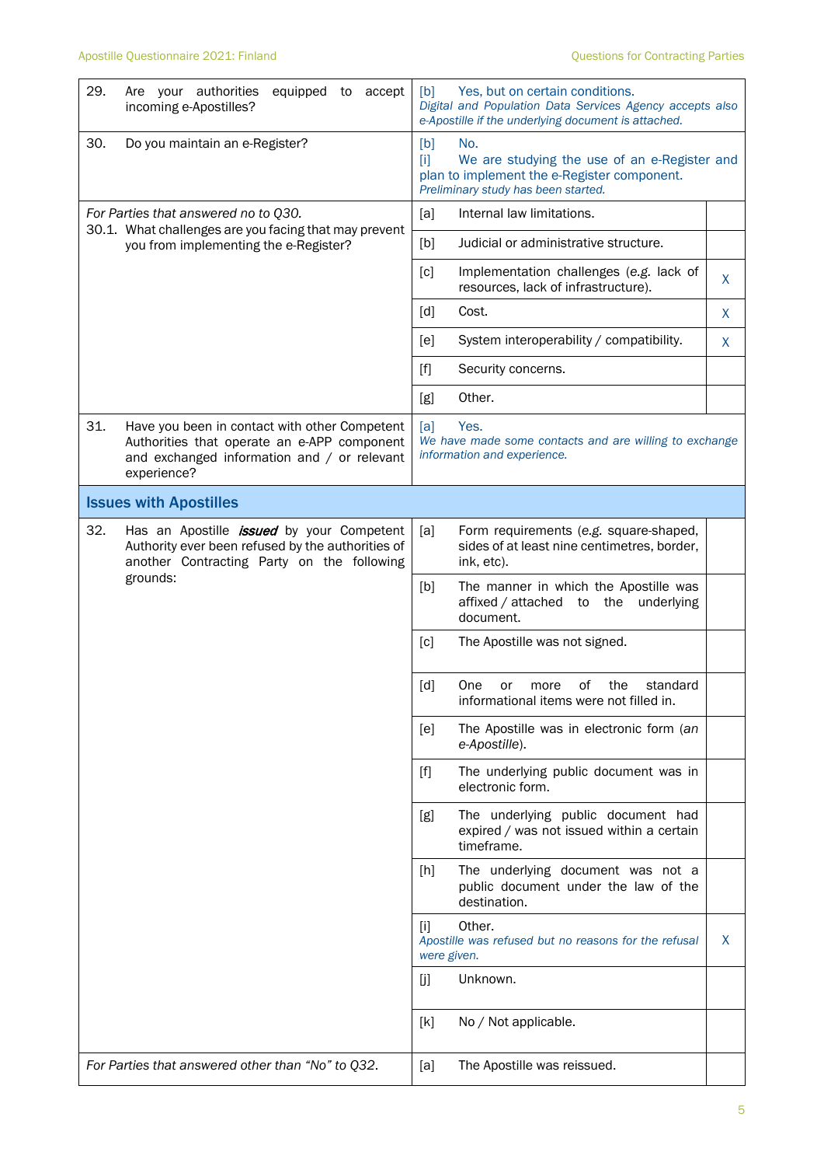| 29.                                                                                                                                    | equipped to accept<br>Are your authorities<br>incoming e-Apostilles?                                                                                            | Yes, but on certain conditions.<br>[b]<br>Digital and Population Data Services Agency accepts also<br>e-Apostille if the underlying document is attached.                                                                                                                   |   |
|----------------------------------------------------------------------------------------------------------------------------------------|-----------------------------------------------------------------------------------------------------------------------------------------------------------------|-----------------------------------------------------------------------------------------------------------------------------------------------------------------------------------------------------------------------------------------------------------------------------|---|
| 30.                                                                                                                                    | Do you maintain an e-Register?                                                                                                                                  | [b]<br>No.<br>We are studying the use of an e-Register and<br>$[1]$<br>plan to implement the e-Register component.<br>Preliminary study has been started.                                                                                                                   |   |
| For Parties that answered no to Q30.<br>30.1. What challenges are you facing that may prevent<br>you from implementing the e-Register? |                                                                                                                                                                 | Internal law limitations.<br>[a]                                                                                                                                                                                                                                            |   |
|                                                                                                                                        |                                                                                                                                                                 | [b]<br>Judicial or administrative structure.                                                                                                                                                                                                                                |   |
|                                                                                                                                        |                                                                                                                                                                 | [c]<br>Implementation challenges (e.g. lack of<br>resources, lack of infrastructure).                                                                                                                                                                                       | X |
|                                                                                                                                        |                                                                                                                                                                 | [d]<br>Cost.                                                                                                                                                                                                                                                                | X |
|                                                                                                                                        |                                                                                                                                                                 | System interoperability / compatibility.<br>[e]                                                                                                                                                                                                                             | X |
|                                                                                                                                        |                                                                                                                                                                 | $[f] % \begin{center} % \includegraphics[width=\linewidth]{imagesSupplemental_3.png} % \end{center} % \caption { % Our method can be used for the use of the image. % Note that the \emph{Left:} \label{fig:case} \vspace{-1em} % \label{fig:case} %$<br>Security concerns. |   |
|                                                                                                                                        |                                                                                                                                                                 | Other.<br>[g]                                                                                                                                                                                                                                                               |   |
| 31.                                                                                                                                    | Have you been in contact with other Competent<br>Authorities that operate an e-APP component<br>and exchanged information and / or relevant<br>experience?      | Yes.<br>[a]<br>We have made some contacts and are willing to exchange<br>information and experience.                                                                                                                                                                        |   |
|                                                                                                                                        | <b>Issues with Apostilles</b>                                                                                                                                   |                                                                                                                                                                                                                                                                             |   |
| 32.                                                                                                                                    | Has an Apostille <i>issued</i> by your Competent<br>Authority ever been refused by the authorities of<br>another Contracting Party on the following<br>grounds: | [a]<br>Form requirements (e.g. square-shaped,<br>sides of at least nine centimetres, border,<br>ink, etc).                                                                                                                                                                  |   |
|                                                                                                                                        |                                                                                                                                                                 | The manner in which the Apostille was<br>[b]<br>affixed / attached<br>the<br>underlying<br>to<br>document.                                                                                                                                                                  |   |
|                                                                                                                                        |                                                                                                                                                                 | [c]<br>The Apostille was not signed.                                                                                                                                                                                                                                        |   |
|                                                                                                                                        |                                                                                                                                                                 | [d]<br>of<br>the<br>standard<br>One<br>or<br>more<br>informational items were not filled in.                                                                                                                                                                                |   |
|                                                                                                                                        |                                                                                                                                                                 | The Apostille was in electronic form (an<br>[e]<br>e-Apostille).                                                                                                                                                                                                            |   |
|                                                                                                                                        |                                                                                                                                                                 | $[f]$<br>The underlying public document was in<br>electronic form.                                                                                                                                                                                                          |   |
|                                                                                                                                        |                                                                                                                                                                 | The underlying public document had<br>[g]<br>expired / was not issued within a certain<br>timeframe.                                                                                                                                                                        |   |
|                                                                                                                                        |                                                                                                                                                                 | The underlying document was not a<br>$[h]$<br>public document under the law of the<br>destination.                                                                                                                                                                          |   |
|                                                                                                                                        |                                                                                                                                                                 | Other.<br>$[1]$<br>Apostille was refused but no reasons for the refusal<br>were given.                                                                                                                                                                                      | X |
|                                                                                                                                        |                                                                                                                                                                 | Unknown.<br>[j]                                                                                                                                                                                                                                                             |   |
|                                                                                                                                        |                                                                                                                                                                 | No / Not applicable.<br>[k]                                                                                                                                                                                                                                                 |   |
|                                                                                                                                        | For Parties that answered other than "No" to Q32.                                                                                                               | The Apostille was reissued.<br>[a]                                                                                                                                                                                                                                          |   |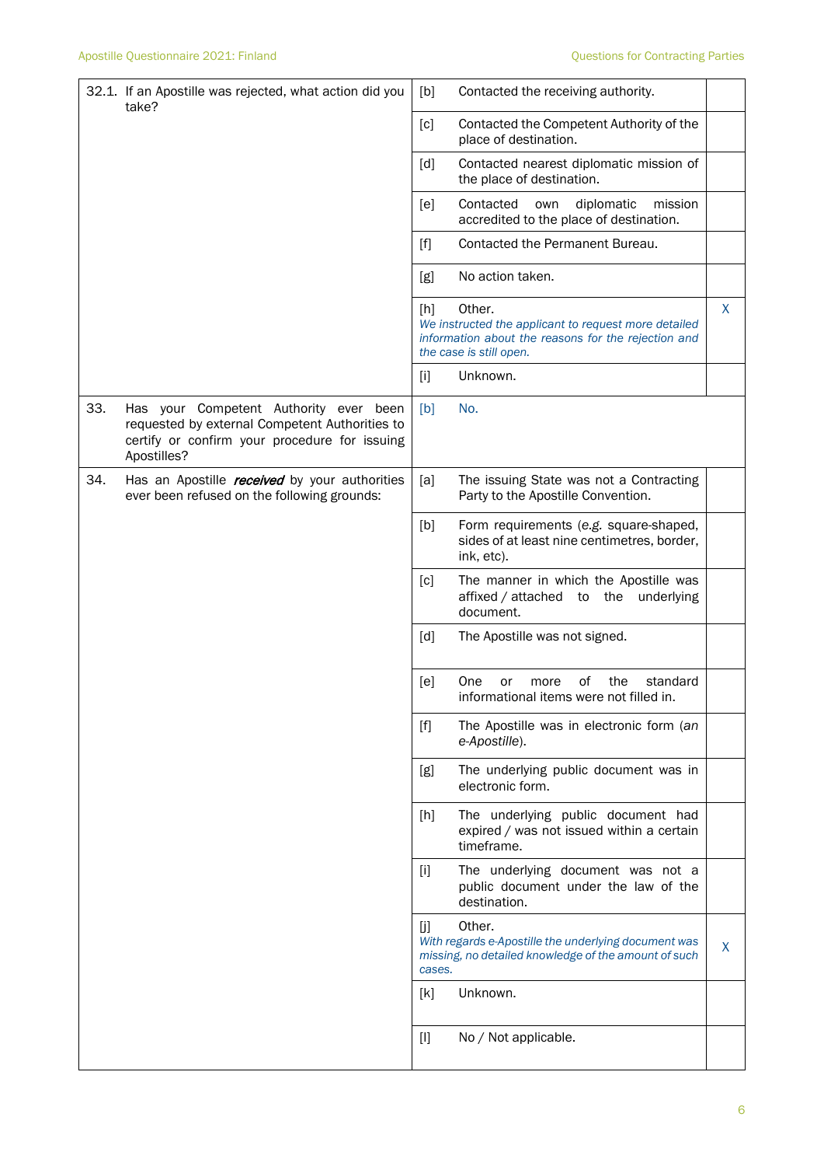|     | 32.1. If an Apostille was rejected, what action did you<br>take?                                                                                         | [b]           | Contacted the receiving authority.                                                                                                               |   |
|-----|----------------------------------------------------------------------------------------------------------------------------------------------------------|---------------|--------------------------------------------------------------------------------------------------------------------------------------------------|---|
|     |                                                                                                                                                          | [c]           | Contacted the Competent Authority of the<br>place of destination.                                                                                |   |
|     |                                                                                                                                                          | [d]           | Contacted nearest diplomatic mission of<br>the place of destination.                                                                             |   |
|     |                                                                                                                                                          | [e]           | Contacted<br>diplomatic<br>own<br>mission<br>accredited to the place of destination.                                                             |   |
|     |                                                                                                                                                          | $[f]$         | Contacted the Permanent Bureau.                                                                                                                  |   |
|     |                                                                                                                                                          | [g]           | No action taken.                                                                                                                                 |   |
|     |                                                                                                                                                          | [h]           | Other.<br>We instructed the applicant to request more detailed<br>information about the reasons for the rejection and<br>the case is still open. | X |
|     |                                                                                                                                                          | $[1]$         | Unknown.                                                                                                                                         |   |
| 33. | Has your Competent Authority ever been<br>requested by external Competent Authorities to<br>certify or confirm your procedure for issuing<br>Apostilles? | [b]           | No.                                                                                                                                              |   |
| 34. | Has an Apostille <i>received</i> by your authorities<br>ever been refused on the following grounds:                                                      | [a]           | The issuing State was not a Contracting<br>Party to the Apostille Convention.                                                                    |   |
|     |                                                                                                                                                          | [b]           | Form requirements (e.g. square-shaped,<br>sides of at least nine centimetres, border,<br>ink, etc).                                              |   |
|     |                                                                                                                                                          | [c]           | The manner in which the Apostille was<br>affixed / attached to the<br>underlying<br>document.                                                    |   |
|     |                                                                                                                                                          | [d]           | The Apostille was not signed.                                                                                                                    |   |
|     |                                                                                                                                                          | [e]           | of<br>the<br><b>One</b><br>more<br>standard<br>or<br>informational items were not filled in                                                      |   |
|     |                                                                                                                                                          | [f]           | The Apostille was in electronic form (an<br>e-Apostille).                                                                                        |   |
|     |                                                                                                                                                          | [g]           | The underlying public document was in<br>electronic form.                                                                                        |   |
|     |                                                                                                                                                          | [h]           | The underlying public document had<br>expired / was not issued within a certain<br>timeframe.                                                    |   |
|     |                                                                                                                                                          | $[1]$         | The underlying document was not a<br>public document under the law of the<br>destination.                                                        |   |
|     |                                                                                                                                                          | [j]<br>cases. | Other.<br>With regards e-Apostille the underlying document was<br>missing, no detailed knowledge of the amount of such                           | X |
|     |                                                                                                                                                          | [k]           | Unknown.                                                                                                                                         |   |
|     |                                                                                                                                                          | $[1]$         | No / Not applicable.                                                                                                                             |   |